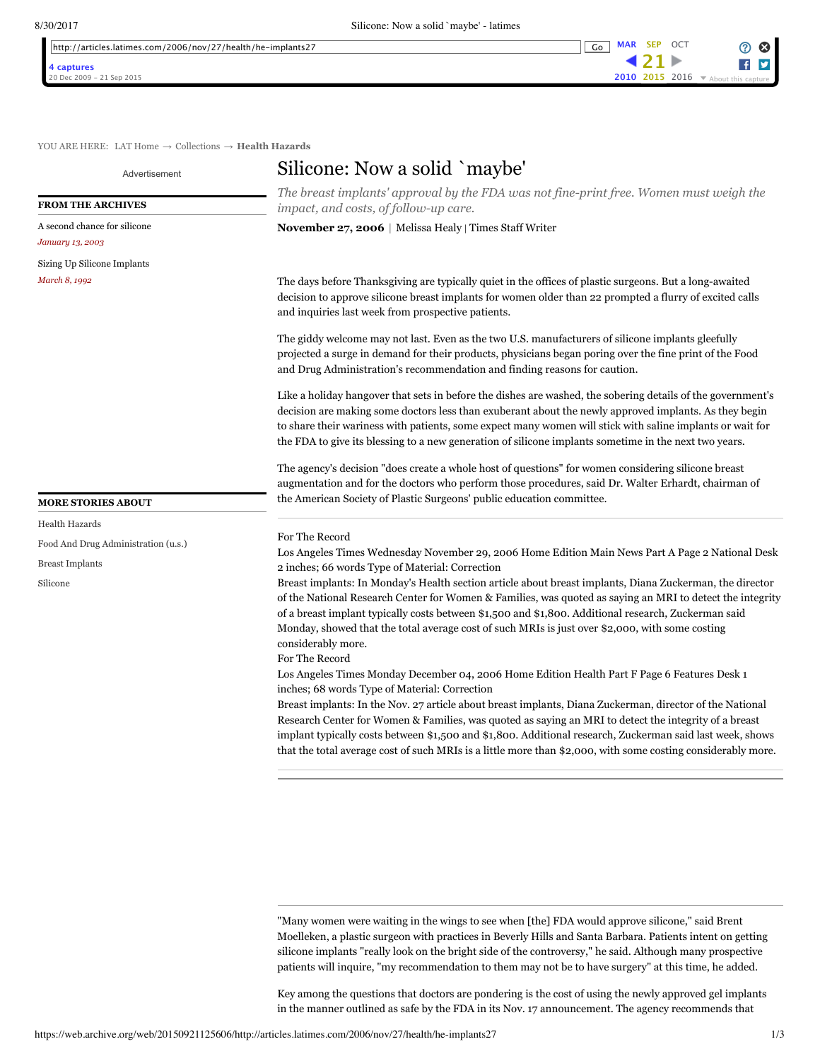| $\sim$ $\sim$ $\sim$<br>2006/nov/2<br>lhttp:<br>'27/health,<br>Con(1)<br>i/he−implants2<br>articles '<br>.latimes | uθ |  | OCT |
|-------------------------------------------------------------------------------------------------------------------|----|--|-----|
|                                                                                                                   |    |  |     |

**FROM THE ARCHIVES** [A second chance for silicone](https://web.archive.org/web/20150921125606/http://articles.latimes.com/2003/jan/13/health/he-implant13)

[Sizing Up Silicone Implants](https://web.archive.org/web/20150921125606/http://articles.latimes.com/1992-03-08/magazine/tm-5814_1_sizing-up-silicone-implants-procedure-frailties)

**MORE STORIES ABOUT**

[Food And Drug Administration \(u.s.\)](https://web.archive.org/web/20150921125606/http://articles.latimes.com/keyword/food-and-drug-administration-u-s)

[Health Hazards](https://web.archive.org/web/20150921125606/http://articles.latimes.com/keyword/health-hazards)

[Breast Implants](https://web.archive.org/web/20150921125606/http://articles.latimes.com/keyword/breast-implants) [Silicone](https://web.archive.org/web/20150921125606/http://articles.latimes.com/keyword/silicone)

*January 13, 2003*

*March 8, 1992*



YOU ARE HERE: [LAT Home](https://web.archive.org/web/20150921125606/http://www.latimes.com/) → [Collections](https://web.archive.org/web/20150921125606/http://articles.latimes.com/) → **[Health Hazards](https://web.archive.org/web/20150921125606/http://articles.latimes.com/keyword/health-hazards)**

Advertisement

## Silicone: Now a solid `maybe'

The breast implants' approval by the FDA was not fine-print free. Women must weigh the *impact, and costs, of follow-up care.* 

**[November 27, 2006](https://web.archive.org/web/20150921125606/http://articles.latimes.com/2006/nov/27)** | Melissa Healy | Times Staff Writer

The days before Thanksgiving are typically quiet in the offices of plastic surgeons. But a long-awaited decision to approve silicone breast implants for women older than 22 prompted a flurry of excited calls and inquiries last week from prospective patients.

The giddy welcome may not last. Even as the two U.S. manufacturers of silicone implants gleefully projected a surge in demand for their products, physicians began poring over the fine print of the Food and Drug Administration's recommendation and finding reasons for caution.

Like a holiday hangover that sets in before the dishes are washed, the sobering details of the government's decision are making some doctors less than exuberant about the newly approved implants. As they begin to share their wariness with patients, some expect many women will stick with saline implants or wait for the FDA to give its blessing to a new generation of silicone implants sometime in the next two years.

The agency's decision "does create a whole host of questions" for women considering silicone breast augmentation and for the doctors who perform those procedures, said Dr. Walter Erhardt, chairman of the American Society of Plastic Surgeons' public education committee.

## For The Record

Los Angeles Times Wednesday November 29, 2006 Home Edition Main News Part A Page 2 National Desk 2 inches; 66 words Type of Material: Correction

Breast implants: In Monday's Health section article about breast implants, Diana Zuckerman, the director of the National Research Center for Women & Families, was quoted as saying an MRI to detect the integrity of a breast implant typically costs between \$1,500 and \$1,800. Additional research, Zuckerman said Monday, showed that the total average cost of such MRIs is just over \$2,000, with some costing considerably more.

For The Record

Los Angeles Times Monday December 04, 2006 Home Edition Health Part F Page 6 Features Desk 1 inches; 68 words Type of Material: Correction

Breast implants: In the Nov. 27 article about breast implants, Diana Zuckerman, director of the National Research Center for Women & Families, was quoted as saying an MRI to detect the integrity of a breast implant typically costs between \$1,500 and \$1,800. Additional research, Zuckerman said last week, shows that the total average cost of such MRIs is a little more than \$2,000, with some costing considerably more.

"Many women were waiting in the wings to see when [the] FDA would approve silicone," said Brent Moelleken, a plastic surgeon with practices in Beverly Hills and Santa Barbara. Patients intent on getting silicone implants "really look on the bright side of the controversy," he said. Although many prospective patients will inquire, "my recommendation to them may not be to have surgery" at this time, he added.

Key among the questions that doctors are pondering is the cost of using the newly approved gel implants in the manner outlined as safe by the FDA in its Nov. 17 announcement. The agency recommends that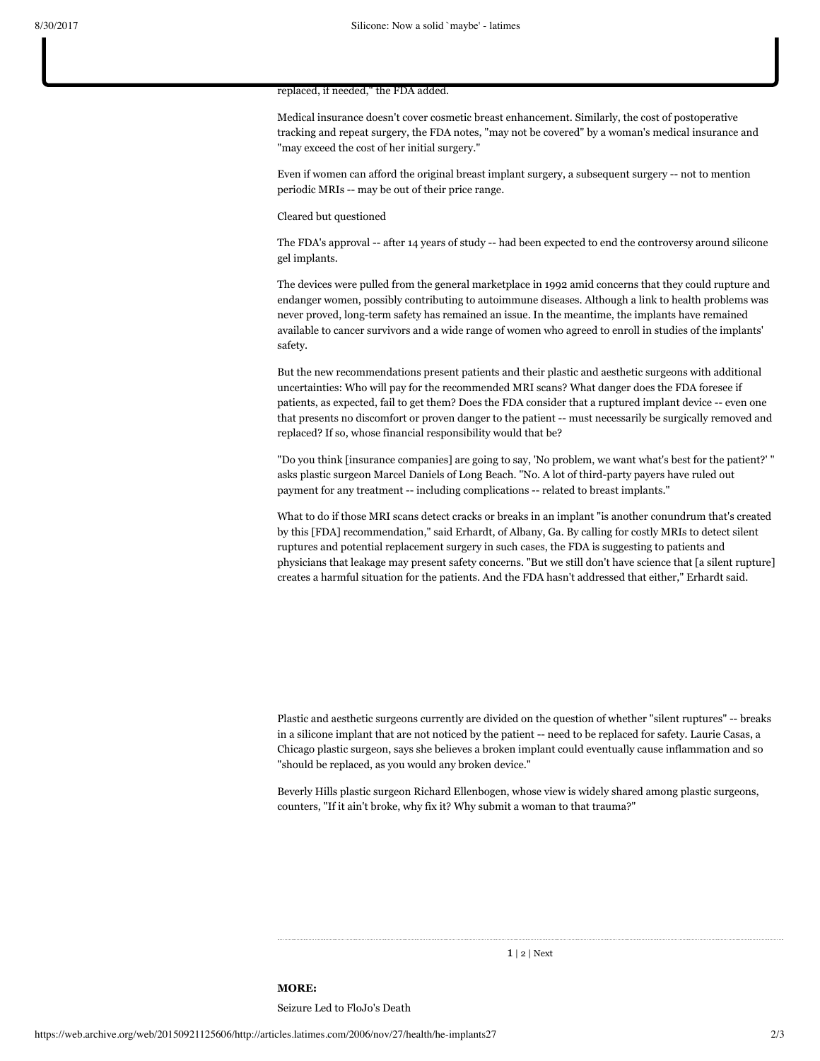## replaced, if needed," the FDA added.

Medical insurance doesn't cover cosmetic breast enhancement. Similarly, the cost of postoperative tracking and repeat surgery, the FDA notes, "may not be covered" by a woman's medical insurance and "may exceed the cost of her initial surgery."

Even if women can afford the original breast implant surgery, a subsequent surgery -- not to mention periodic MRIs -- may be out of their price range.

## Cleared but questioned

The FDA's approval -- after 14 years of study -- had been expected to end the controversy around silicone gel implants.

The devices were pulled from the general marketplace in 1992 amid concerns that they could rupture and endanger women, possibly contributing to autoimmune diseases. Although a link to health problems was never proved, long-term safety has remained an issue. In the meantime, the implants have remained available to cancer survivors and a wide range of women who agreed to enroll in studies of the implants' safety.

But the new recommendations present patients and their plastic and aesthetic surgeons with additional uncertainties: Who will pay for the recommended MRI scans? What danger does the FDA foresee if patients, as expected, fail to get them? Does the FDA consider that a ruptured implant device -- even one that presents no discomfort or proven danger to the patient -- must necessarily be surgically removed and replaced? If so, whose financial responsibility would that be?

"Do you think [insurance companies] are going to say, 'No problem, we want what's best for the patient?' " asks plastic surgeon Marcel Daniels of Long Beach. "No. A lot of third-party payers have ruled out payment for any treatment -- including complications -- related to breast implants."

What to do if those MRI scans detect cracks or breaks in an implant "is another conundrum that's created by this [FDA] recommendation," said Erhardt, of Albany, Ga. By calling for costly MRIs to detect silent ruptures and potential replacement surgery in such cases, the FDA is suggesting to patients and physicians that leakage may present safety concerns. "But we still don't have science that [a silent rupture] creates a harmful situation for the patients. And the FDA hasn't addressed that either," Erhardt said.

Plastic and aesthetic surgeons currently are divided on the question of whether "silent ruptures" -- breaks in a silicone implant that are not noticed by the patient -- need to be replaced for safety. Laurie Casas, a Chicago plastic surgeon, says she believes a broken implant could eventually cause inflammation and so "should be replaced, as you would any broken device."

Beverly Hills plastic surgeon Richard Ellenbogen, whose view is widely shared among plastic surgeons, counters, "If it ain't broke, why fix it? Why submit a woman to that trauma?"

1 | [2](https://web.archive.org/web/20150921125606/http://articles.latimes.com/2006/nov/27/health/he-implants27/2) | [Next](https://web.archive.org/web/20150921125606/http://articles.latimes.com/2006/nov/27/health/he-implants27/2)

**MORE:** [Seizure Led to FloJo's Death](https://web.archive.org/web/20150921125606/http://articles.latimes.com/1998/oct/23/sports/sp-35391)